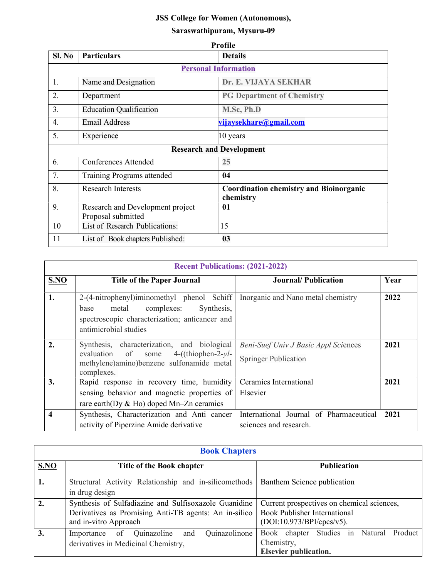# JSS College for Women (Autonomous),

## Saraswathipuram, Mysuru-09

| Profile                         |                                                        |                                                             |  |  |
|---------------------------------|--------------------------------------------------------|-------------------------------------------------------------|--|--|
| Sl. No                          | <b>Particulars</b>                                     | <b>Details</b>                                              |  |  |
| <b>Personal Information</b>     |                                                        |                                                             |  |  |
| 1.                              | Name and Designation                                   | Dr. E. VIJAYA SEKHAR                                        |  |  |
| 2.                              | Department                                             | <b>PG Department of Chemistry</b>                           |  |  |
| 3.                              | <b>Education Qualification</b>                         | M.Sc, Ph.D                                                  |  |  |
| 4.                              | <b>Email Address</b>                                   | vijaysekhare@gmail.com                                      |  |  |
| 5.                              | Experience                                             | 10 years                                                    |  |  |
| <b>Research and Development</b> |                                                        |                                                             |  |  |
| 6.                              | Conferences Attended                                   | 25                                                          |  |  |
| 7.                              | Training Programs attended                             | 04                                                          |  |  |
| 8.                              | <b>Research Interests</b>                              | <b>Coordination chemistry and Bioinorganic</b><br>chemistry |  |  |
| 9.                              | Research and Development project<br>Proposal submitted | 01                                                          |  |  |
| 10                              | List of Research Publications:                         | 15                                                          |  |  |
| 11                              | List of Book chapters Published:                       | 03                                                          |  |  |

| <b>Recent Publications: (2021-2022)</b> |                                                                                                                                                                 |                                                                            |      |  |
|-----------------------------------------|-----------------------------------------------------------------------------------------------------------------------------------------------------------------|----------------------------------------------------------------------------|------|--|
| SNO                                     | <b>Title of the Paper Journal</b>                                                                                                                               | <b>Journal/Publication</b>                                                 | Year |  |
| 1.                                      | 2-(4-nitrophenyl)iminomethyl phenol Schiff<br>metal complexes:<br>Synthesis,<br>base<br>spectroscopic characterization; anticancer and<br>antimicrobial studies | Inorganic and Nano metal chemistry                                         | 2022 |  |
| 2.                                      | Synthesis, characterization, and biological<br>$4-((thiophen-2-yl-$<br>evaluation of some<br>methylene)amino)benzene sulfonamide metal<br>complexes.            | <b>Beni-Suef Univ J Basic Appl Sciences</b><br><b>Springer Publication</b> | 2021 |  |
| 3.                                      | Rapid response in recovery time, humidity<br>sensing behavior and magnetic properties of<br>rare earth (Dy $&$ Ho) doped Mn-Zn ceramics                         | Ceramics International<br>Elsevier                                         | 2021 |  |
| $\overline{\mathbf{4}}$                 | Synthesis, Characterization and Anti cancer<br>activity of Piperzine Amide derivative                                                                           | International Journal of Pharmaceutical<br>sciences and research.          | 2021 |  |

| <b>Book Chapters</b> |                                                       |                                            |  |  |  |  |
|----------------------|-------------------------------------------------------|--------------------------------------------|--|--|--|--|
| <b>S.NO</b>          | Title of the Book chapter                             | <b>Publication</b>                         |  |  |  |  |
| 1.                   | Structural Activity Relationship and in-silicomethods | Banthem Science publication                |  |  |  |  |
|                      | in drug design                                        |                                            |  |  |  |  |
| 2.                   | Synthesis of Sulfadiazine and Sulfisoxazole Guanidine | Current prospectives on chemical sciences, |  |  |  |  |
|                      | Derivatives as Promising Anti-TB agents: An in-silico | <b>Book Publisher International</b>        |  |  |  |  |
|                      | and in-vitro Approach                                 | (DOI:10.973/BPI/cpcs/v5).                  |  |  |  |  |
| 3.                   | Quinazolinone<br>of Quinazoline<br>and<br>Importance  | Book chapter Studies in Natural Product    |  |  |  |  |
|                      | derivatives in Medicinal Chemistry,                   | Chemistry,                                 |  |  |  |  |
|                      |                                                       | <b>Elsevier publication.</b>               |  |  |  |  |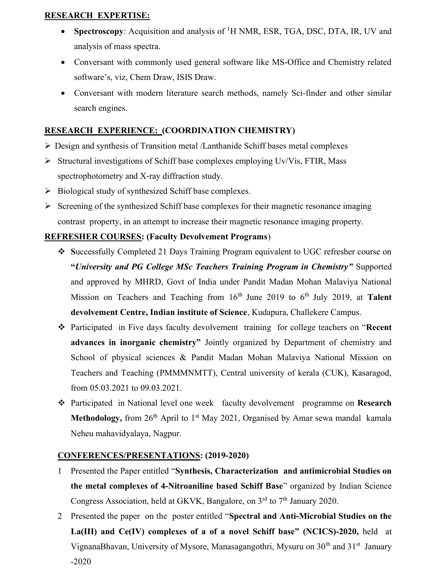### RESEARCH EXPERTISE:

- Spectroscopy: Acquisition and analysis of  ${}^{1}H$  NMR, ESR, TGA, DSC, DTA, IR, UV and analysis of mass spectra.
- Conversant with commonly used general software like MS-Office and Chemistry related software's, viz, Chem Draw, ISIS Draw.
- Conversant with modern literature search methods, namely Sci-finder and other similar search engines.

### RESEARCH EXPERIENCE: (COORDINATION CHEMISTRY)

- Design and synthesis of Transition metal /Lanthanide Schiff bases metal complexes
- $\triangleright$  Structural investigations of Schiff base complexes employing Uv/Vis, FTIR, Mass spectrophotometry and X-ray diffraction study.
- $\triangleright$  Biological study of synthesized Schiff base complexes.
- $\triangleright$  Screening of the synthesized Schiff base complexes for their magnetic resonance imaging contrast property, in an attempt to increase their magnetic resonance imaging property.

### REFRESHER COURSES: (Faculty Devolvement Programs)

- Successfully Completed 21 Days Training Program equivalent to UGC refresher course on "University and PG College MSc Teachers Training Program in Chemistry" Supported and approved by MHRD, Govt of India under Pandit Madan Mohan Malaviya National Mission on Teachers and Teaching from  $16<sup>th</sup>$  June 2019 to  $6<sup>th</sup>$  July 2019, at Talent devolvement Centre, Indian institute of Science, Kudapura, Challekere Campus.
- Participated in Five days faculty devolvement training for college teachers on "Recent advances in inorganic chemistry" Jointly organized by Department of chemistry and School of physical sciences & Pandit Madan Mohan Malaviya National Mission on Teachers and Teaching (PMMMNMTT), Central university of kerala (CUK), Kasaragod, from 05.03.2021 to 09.03.2021.
- \* Participated in National level one week faculty devolvement programme on Research Methodology, from  $26<sup>th</sup>$  April to 1<sup>st</sup> May 2021, Organised by Amar sewa mandal kamala Neheu mahavidyalaya, Nagpur.

#### CONFERENCES/PRESENTATIONS: (2019-2020)

- 1 Presented the Paper entitled "Synthesis, Characterization and antimicrobial Studies on the metal complexes of 4-Nitroaniline based Schiff Base" organized by Indian Science Congress Association, held at GKVK, Bangalore, on  $3<sup>rd</sup>$  to  $7<sup>th</sup>$  January 2020.
- 2 Presented the paper on the poster entitled "Spectral and Anti-Microbial Studies on the La(III) and Ce(IV) complexes of a of a novel Schiff base" (NCICS)-2020, held at VignanaBhavan, University of Mysore, Manasagangothri, Mysuru on 30<sup>th</sup> and 31<sup>st</sup> January -2020